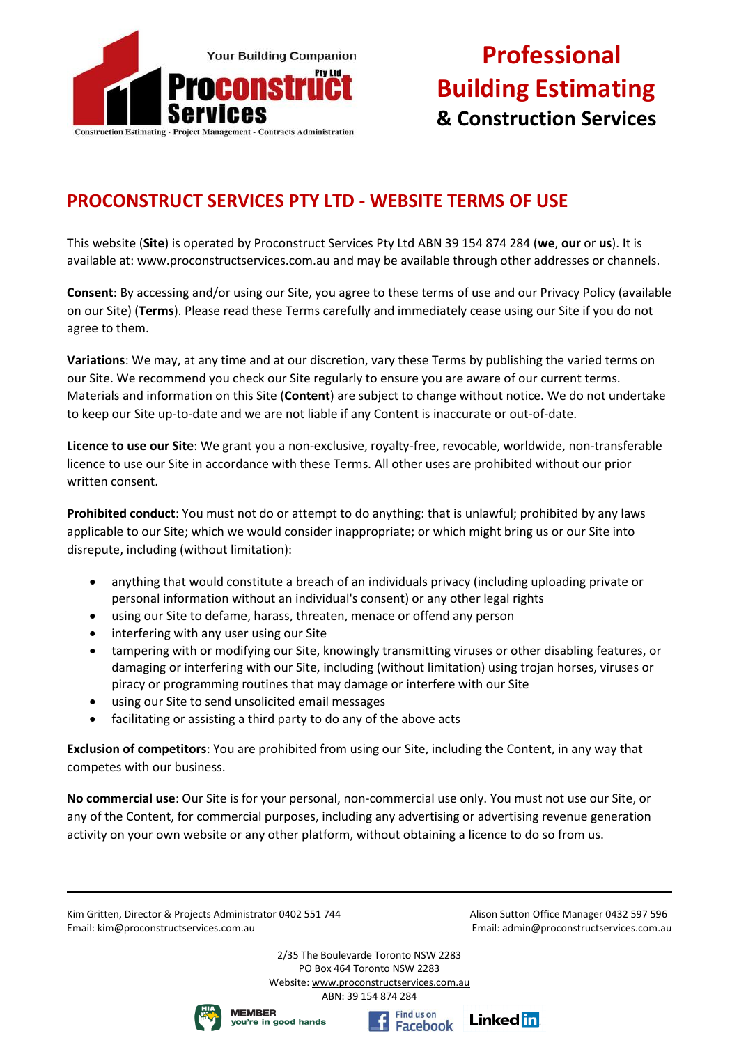

#### **PROCONSTRUCT SERVICES PTY LTD - WEBSITE TERMS OF USE**

This website (**Site**) is operated by Proconstruct Services Pty Ltd ABN 39 154 874 284 (**we**, **our** or **us**). It is available at: www.proconstructservices.com.au and may be available through other addresses or channels.

**Consent**: By accessing and/or using our Site, you agree to these terms of use and our Privacy Policy (available on our Site) (**Terms**). Please read these Terms carefully and immediately cease using our Site if you do not agree to them.

**Variations**: We may, at any time and at our discretion, vary these Terms by publishing the varied terms on our Site. We recommend you check our Site regularly to ensure you are aware of our current terms. Materials and information on this Site (**Content**) are subject to change without notice. We do not undertake to keep our Site up-to-date and we are not liable if any Content is inaccurate or out-of-date.

**Licence to use our Site**: We grant you a non-exclusive, royalty-free, revocable, worldwide, non-transferable licence to use our Site in accordance with these Terms. All other uses are prohibited without our prior written consent.

**Prohibited conduct**: You must not do or attempt to do anything: that is unlawful; prohibited by any laws applicable to our Site; which we would consider inappropriate; or which might bring us or our Site into disrepute, including (without limitation):

- anything that would constitute a breach of an individuals privacy (including uploading private or personal information without an individual's consent) or any other legal rights
- using our Site to defame, harass, threaten, menace or offend any person
- interfering with any user using our Site
- tampering with or modifying our Site, knowingly transmitting viruses or other disabling features, or damaging or interfering with our Site, including (without limitation) using trojan horses, viruses or piracy or programming routines that may damage or interfere with our Site
- using our Site to send unsolicited email messages
- facilitating or assisting a third party to do any of the above acts

**Exclusion of competitors**: You are prohibited from using our Site, including the Content, in any way that competes with our business.

**No commercial use**: Our Site is for your personal, non-commercial use only. You must not use our Site, or any of the Content, for commercial purposes, including any advertising or advertising revenue generation activity on your own website or any other platform, without obtaining a licence to do so from us.

Kim Gritten, Director & Projects Administrator 0402 551 744 Alison Sutton Office Manager 0432 597 596 Email: kim@proconstructservices.com.au Email: admin@proconstructservices.com.au

2/35 The Boulevarde Toronto NSW 2283 PO Box 464 Toronto NSW 2283 Website[: www.proconstructservices.com.au](http://www.proconstructservices.com.au/) ABN: 39 154 874 284





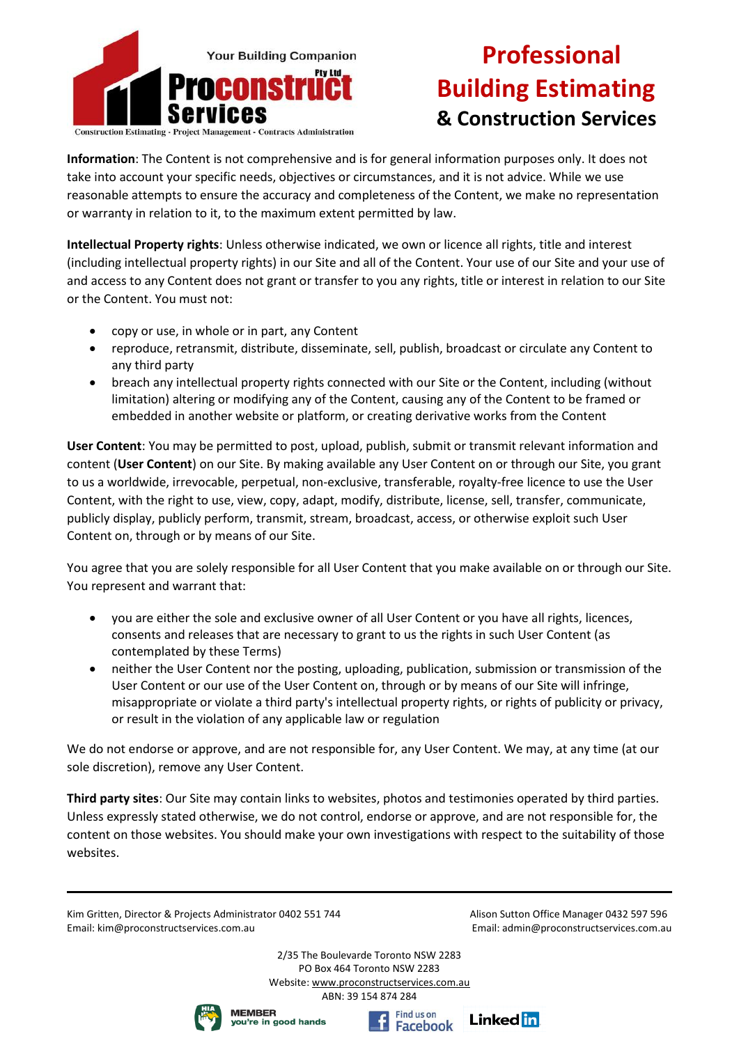

# **Professional Building Estimating & Construction Services**

**Information**: The Content is not comprehensive and is for general information purposes only. It does not take into account your specific needs, objectives or circumstances, and it is not advice. While we use reasonable attempts to ensure the accuracy and completeness of the Content, we make no representation or warranty in relation to it, to the maximum extent permitted by law.

**Intellectual Property rights**: Unless otherwise indicated, we own or licence all rights, title and interest (including intellectual property rights) in our Site and all of the Content. Your use of our Site and your use of and access to any Content does not grant or transfer to you any rights, title or interest in relation to our Site or the Content. You must not:

- copy or use, in whole or in part, any Content
- reproduce, retransmit, distribute, disseminate, sell, publish, broadcast or circulate any Content to any third party
- breach any intellectual property rights connected with our Site or the Content, including (without limitation) altering or modifying any of the Content, causing any of the Content to be framed or embedded in another website or platform, or creating derivative works from the Content

**User Content**: You may be permitted to post, upload, publish, submit or transmit relevant information and content (**User Content**) on our Site. By making available any User Content on or through our Site, you grant to us a worldwide, irrevocable, perpetual, non-exclusive, transferable, royalty-free licence to use the User Content, with the right to use, view, copy, adapt, modify, distribute, license, sell, transfer, communicate, publicly display, publicly perform, transmit, stream, broadcast, access, or otherwise exploit such User Content on, through or by means of our Site.

You agree that you are solely responsible for all User Content that you make available on or through our Site. You represent and warrant that:

- you are either the sole and exclusive owner of all User Content or you have all rights, licences, consents and releases that are necessary to grant to us the rights in such User Content (as contemplated by these Terms)
- neither the User Content nor the posting, uploading, publication, submission or transmission of the User Content or our use of the User Content on, through or by means of our Site will infringe, misappropriate or violate a third party's intellectual property rights, or rights of publicity or privacy, or result in the violation of any applicable law or regulation

We do not endorse or approve, and are not responsible for, any User Content. We may, at any time (at our sole discretion), remove any User Content.

**Third party sites**: Our Site may contain links to websites, photos and testimonies operated by third parties. Unless expressly stated otherwise, we do not control, endorse or approve, and are not responsible for, the content on those websites. You should make your own investigations with respect to the suitability of those websites.

Kim Gritten, Director & Projects Administrator 0402 551 744 Alison Sutton Office Manager 0432 597 596 Email: kim@proconstructservices.com.au Email: admin@proconstructservices.com.au

**Linked** in

2/35 The Boulevarde Toronto NSW 2283 PO Box 464 Toronto NSW 2283 Website[: www.proconstructservices.com.au](http://www.proconstructservices.com.au/) ABN: 39 154 874 284



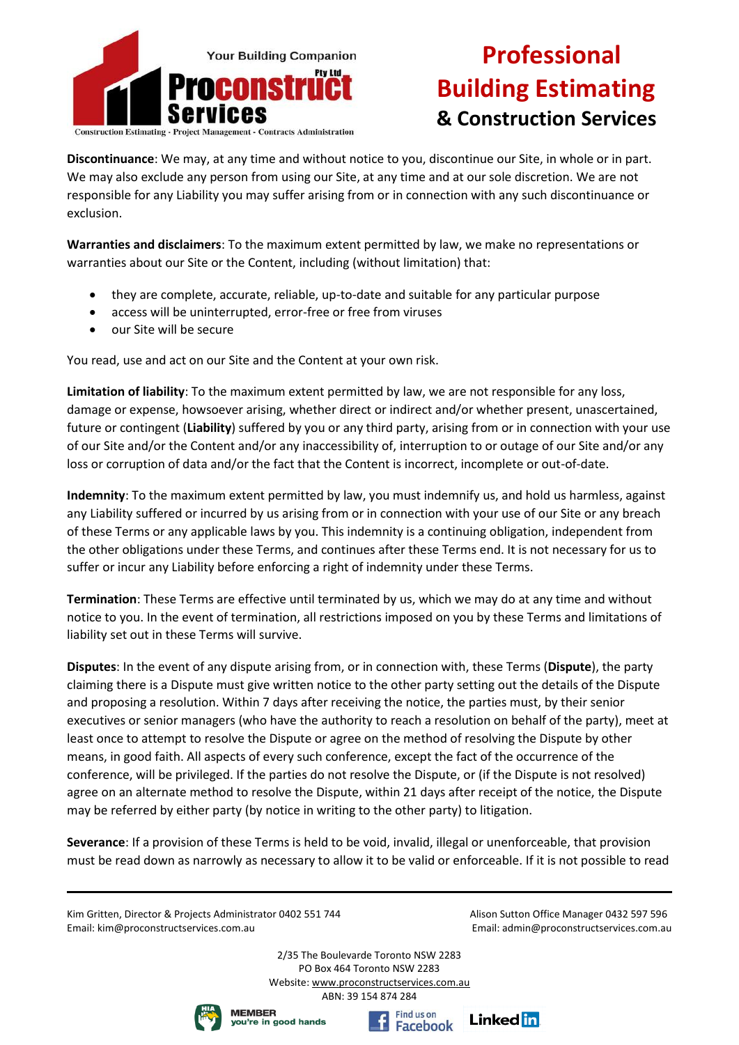

## **Professional Building Estimating & Construction Services**

**Discontinuance**: We may, at any time and without notice to you, discontinue our Site, in whole or in part. We may also exclude any person from using our Site, at any time and at our sole discretion. We are not responsible for any Liability you may suffer arising from or in connection with any such discontinuance or exclusion.

**Warranties and disclaimers**: To the maximum extent permitted by law, we make no representations or warranties about our Site or the Content, including (without limitation) that:

- they are complete, accurate, reliable, up-to-date and suitable for any particular purpose
- access will be uninterrupted, error-free or free from viruses
- our Site will be secure

You read, use and act on our Site and the Content at your own risk.

**Limitation of liability**: To the maximum extent permitted by law, we are not responsible for any loss, damage or expense, howsoever arising, whether direct or indirect and/or whether present, unascertained, future or contingent (**Liability**) suffered by you or any third party, arising from or in connection with your use of our Site and/or the Content and/or any inaccessibility of, interruption to or outage of our Site and/or any loss or corruption of data and/or the fact that the Content is incorrect, incomplete or out-of-date.

**Indemnity**: To the maximum extent permitted by law, you must indemnify us, and hold us harmless, against any Liability suffered or incurred by us arising from or in connection with your use of our Site or any breach of these Terms or any applicable laws by you. This indemnity is a continuing obligation, independent from the other obligations under these Terms, and continues after these Terms end. It is not necessary for us to suffer or incur any Liability before enforcing a right of indemnity under these Terms.

**Termination**: These Terms are effective until terminated by us, which we may do at any time and without notice to you. In the event of termination, all restrictions imposed on you by these Terms and limitations of liability set out in these Terms will survive.

**Disputes**: In the event of any dispute arising from, or in connection with, these Terms (**Dispute**), the party claiming there is a Dispute must give written notice to the other party setting out the details of the Dispute and proposing a resolution. Within 7 days after receiving the notice, the parties must, by their senior executives or senior managers (who have the authority to reach a resolution on behalf of the party), meet at least once to attempt to resolve the Dispute or agree on the method of resolving the Dispute by other means, in good faith. All aspects of every such conference, except the fact of the occurrence of the conference, will be privileged. If the parties do not resolve the Dispute, or (if the Dispute is not resolved) agree on an alternate method to resolve the Dispute, within 21 days after receipt of the notice, the Dispute may be referred by either party (by notice in writing to the other party) to litigation.

**Severance**: If a provision of these Terms is held to be void, invalid, illegal or unenforceable, that provision must be read down as narrowly as necessary to allow it to be valid or enforceable. If it is not possible to read

Kim Gritten, Director & Projects Administrator 0402 551 744 Alison Sutton Office Manager 0432 597 596 Email: kim@proconstructservices.com.au Email: admin@proconstructservices.com.au

2/35 The Boulevarde Toronto NSW 2283 PO Box 464 Toronto NSW 2283 Website[: www.proconstructservices.com.au](http://www.proconstructservices.com.au/) ABN: 39 154 874 284